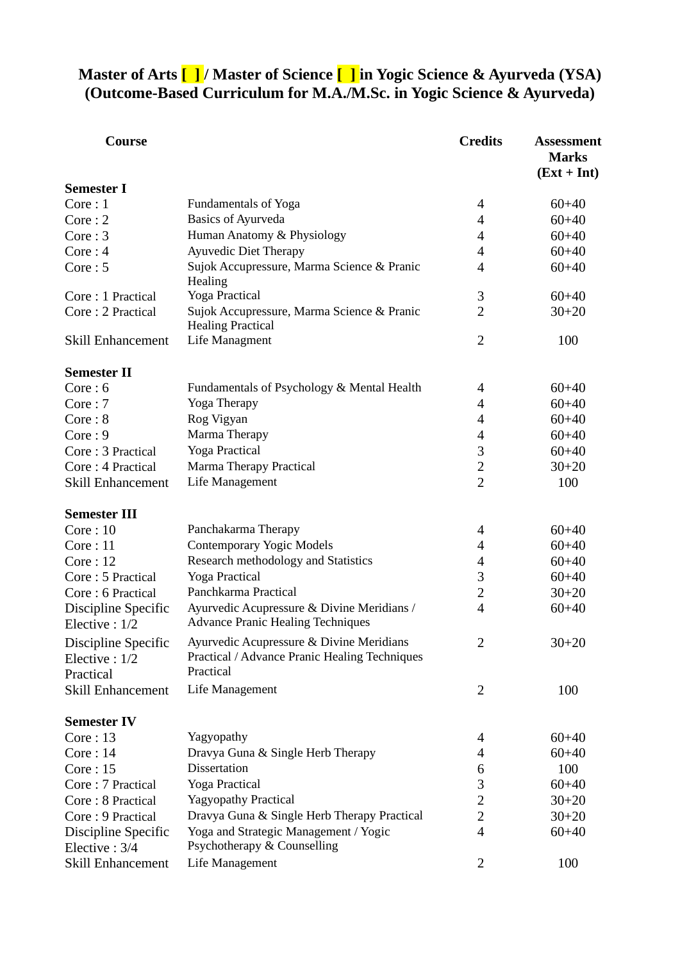# **Master of Arts [ ] / Master of Science [ ] in Yogic Science & Ayurveda (YSA) (Outcome-Based Curriculum for M.A./M.Sc. in Yogic Science & Ayurveda)**

| Course                               |                                                                                                        | <b>Credits</b> | <b>Assessment</b><br><b>Marks</b><br>$(Ext + Int)$ |
|--------------------------------------|--------------------------------------------------------------------------------------------------------|----------------|----------------------------------------------------|
| <b>Semester I</b>                    |                                                                                                        |                |                                                    |
| Core:1                               | <b>Fundamentals of Yoga</b>                                                                            | 4              | $60+40$                                            |
| Core:2                               | <b>Basics of Ayurveda</b>                                                                              | 4              | $60 + 40$                                          |
| Core:3                               | Human Anatomy & Physiology                                                                             | 4              | $60+40$                                            |
| Core:4                               | <b>Ayuvedic Diet Therapy</b>                                                                           | 4              | $60 + 40$                                          |
| Core:5                               | Sujok Accupressure, Marma Science & Pranic<br>Healing                                                  | 4              | $60 + 40$                                          |
| Core: 1 Practical                    | <b>Yoga Practical</b>                                                                                  | 3              | $60+40$                                            |
| Core: 2 Practical                    | Sujok Accupressure, Marma Science & Pranic<br><b>Healing Practical</b>                                 | $\overline{2}$ | $30 + 20$                                          |
| Skill Enhancement                    | Life Managment                                                                                         | 2              | 100                                                |
| <b>Semester II</b>                   |                                                                                                        |                |                                                    |
| Core:6                               | Fundamentals of Psychology & Mental Health                                                             | 4              | $60+40$                                            |
| Core:7                               | Yoga Therapy                                                                                           | 4              | $60+40$                                            |
| Core: 8                              | Rog Vigyan                                                                                             | 4              | $60+40$                                            |
| Core:9                               | Marma Therapy                                                                                          | 4              | $60+40$                                            |
| Core: 3 Practical                    | Yoga Practical                                                                                         | 3              | $60+40$                                            |
| Core: 4 Practical                    | Marma Therapy Practical                                                                                | $\overline{2}$ | $30 + 20$                                          |
| Skill Enhancement                    | Life Management                                                                                        | $\overline{2}$ | 100                                                |
| <b>Semester III</b>                  |                                                                                                        |                |                                                    |
| Core:10                              | Panchakarma Therapy                                                                                    | 4              | $60+40$                                            |
| Core:11                              | <b>Contemporary Yogic Models</b>                                                                       | 4              | $60+40$                                            |
| Core:12                              | Research methodology and Statistics                                                                    | 4              | $60+40$                                            |
| Core: 5 Practical                    | Yoga Practical                                                                                         | 3              | $60+40$                                            |
| Core: 6 Practical                    | Panchkarma Practical                                                                                   | $\overline{2}$ | $30 + 20$                                          |
| Discipline Specific<br>Elective: 1/2 | Ayurvedic Acupressure & Divine Meridians /<br><b>Advance Pranic Healing Techniques</b>                 | 4              | $60+40$                                            |
| Discipline Specific<br>Elective: 1/2 | Ayurvedic Acupressure & Divine Meridians<br>Practical / Advance Pranic Healing Techniques<br>Practical | 2              | $30 + 20$                                          |
| Practical<br>Skill Enhancement       | Life Management                                                                                        | 2              | 100                                                |
| <b>Semester IV</b>                   |                                                                                                        |                |                                                    |
| Core:13                              | Yagyopathy                                                                                             | 4              | $60 + 40$                                          |
| Core:14                              | Dravya Guna & Single Herb Therapy                                                                      | 4              | $60+40$                                            |
| Core:15                              | <b>Dissertation</b>                                                                                    | 6              | 100                                                |
| Core: 7 Practical                    | Yoga Practical                                                                                         | 3              | $60 + 40$                                          |
| Core: 8 Practical                    | <b>Yagyopathy Practical</b>                                                                            | $\overline{2}$ | $30+20$                                            |
| Core: 9 Practical                    | Dravya Guna & Single Herb Therapy Practical                                                            | 2              | $30 + 20$                                          |
| Discipline Specific<br>Elective: 3/4 | Yoga and Strategic Management / Yogic<br>Psychotherapy & Counselling                                   | 4              | $60 + 40$                                          |
| Skill Enhancement                    | Life Management                                                                                        | 2              | 100                                                |